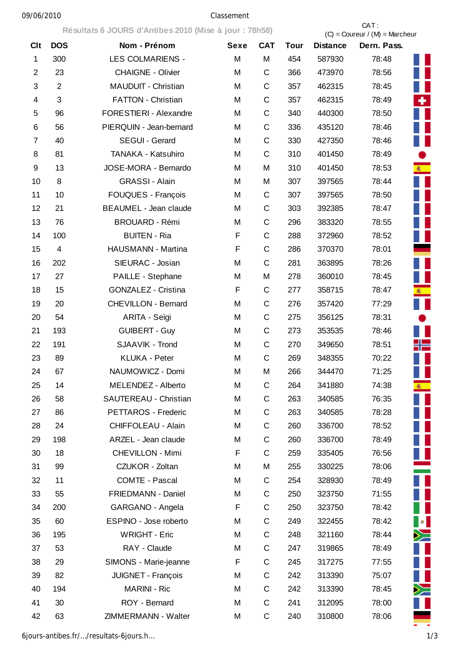## 09/06/2010 Classement

|                |                | Résultats 6 JOURS d'Antibes 2010 (Mise à jour : 78h58) |             |              |             | CAT:<br>$(C) =$ Coureur / $(M) =$ Marcheur |             |                                                     |  |
|----------------|----------------|--------------------------------------------------------|-------------|--------------|-------------|--------------------------------------------|-------------|-----------------------------------------------------|--|
| <b>Clt</b>     | <b>DOS</b>     | Nom - Prénom                                           | <b>Sexe</b> | <b>CAT</b>   | <b>Tour</b> | <b>Distance</b>                            | Dern. Pass. |                                                     |  |
| $\mathbf 1$    | 300            | <b>LES COLMARIENS -</b>                                | M           | M            | 454         | 587930                                     | 78:48       |                                                     |  |
| $\overline{2}$ | 23             | <b>CHAIGNE - Olivier</b>                               | M           | C            | 366         | 473970                                     | 78:56       |                                                     |  |
| 3              | $\overline{2}$ | MAUDUIT - Christian                                    | M           | C            | 357         | 462315                                     | 78:45       |                                                     |  |
| 4              | 3              | FATTON - Christian                                     | M           | C            | 357         | 462315                                     | 78:49       | ٠                                                   |  |
| 5              | 96             | FORESTIERI - Alexandre                                 | M           | $\mathsf C$  | 340         | 440300                                     | 78:50       |                                                     |  |
| 6              | 56             | PIERQUIN - Jean-bernard                                | M           | $\mathsf C$  | 336         | 435120                                     | 78:46       |                                                     |  |
| 7              | 40             | SEGUI - Gerard                                         | M           | $\mathsf{C}$ | 330         | 427350                                     | 78:46       |                                                     |  |
| 8              | 81             | TANAKA - Katsuhiro                                     | M           | $\mathsf{C}$ | 310         | 401450                                     | 78:49       |                                                     |  |
| 9              | 13             | JOSE-MORA - Bernardo                                   | M           | M            | 310         | 401450                                     | 78:53       | 案。                                                  |  |
| 10             | 8              | <b>GRASSI - Alain</b>                                  | M           | M            | 307         | 397565                                     | 78:44       |                                                     |  |
| 11             | 10             | FOUQUES - François                                     | M           | C            | 307         | 397565                                     | 78:50       |                                                     |  |
| 12             | 21             | BEAUMEL - Jean claude                                  | M           | $\mathsf{C}$ | 303         | 392385                                     | 78:47       |                                                     |  |
| 13             | 76             | <b>BROUARD - Rémi</b>                                  | M           | $\mathsf C$  | 296         | 383320                                     | 78:55       |                                                     |  |
| 14             | 100            | <b>BUITEN - Ria</b>                                    | F           | $\mathsf{C}$ | 288         | 372960                                     | 78:52       |                                                     |  |
| 15             | $\overline{4}$ | HAUSMANN - Martina                                     | F           | $\mathsf{C}$ | 286         | 370370                                     | 78:01       |                                                     |  |
| 16             | 202            | SIEURAC - Josian                                       | M           | $\mathsf{C}$ | 281         | 363895                                     | 78:26       |                                                     |  |
| 17             | 27             | PAILLE - Stephane                                      | M           | M            | 278         | 360010                                     | 78:45       |                                                     |  |
| 18             | 15             | <b>GONZALEZ - Cristina</b>                             | F           | C            | 277         | 358715                                     | 78:47       |                                                     |  |
| 19             | 20             | <b>CHEVILLON - Bernard</b>                             | M           | $\mathsf C$  | 276         | 357420                                     | 77:29       |                                                     |  |
| 20             | 54             | ARITA - Seìgi                                          | M           | $\mathsf{C}$ | 275         | 356125                                     | 78:31       |                                                     |  |
| 21             | 193            | <b>GUIBERT - Guy</b>                                   | M           | $\mathsf{C}$ | 273         | 353535                                     | 78:46       |                                                     |  |
| 22             | 191            | SJAAVIK - Trond                                        | M           | $\mathsf{C}$ | 270         | 349650                                     | 78:51       |                                                     |  |
| 23             | 89             | KLUKA - Peter                                          | M           | C            | 269         | 348355                                     | 70:22       |                                                     |  |
| 24             | 67             | NAUMOWICZ - Domi                                       | M           | M            | 266         | 344470                                     | 71:25       |                                                     |  |
| 25             | 14             | MELENDEZ - Alberto                                     | M           | C            | 264         | 341880                                     | 74:38       | 渝                                                   |  |
| 26             | 58             | SAUTEREAU - Christian                                  | M           | $\mathsf{C}$ | 263         | 340585                                     | 76:35       |                                                     |  |
| 27             | 86             | PETTAROS - Frederic                                    | М           | $\mathsf C$  | 263         | 340585                                     | 78:28       |                                                     |  |
| 28             | 24             | <b>CHIFFOLEAU - Alain</b>                              | M           | $\mathsf C$  | 260         | 336700                                     | 78:52       |                                                     |  |
| 29             | 198            | ARZEL - Jean claude                                    | М           | C            | 260         | 336700                                     | 78:49       |                                                     |  |
| 30             | 18             | <b>CHEVILLON - Mimi</b>                                | F           | C            | 259         | 335405                                     | 76:56       |                                                     |  |
| 31             | 99             | CZUKOR - Zoltan                                        | M           | M            | 255         | 330225                                     | 78:06       |                                                     |  |
| 32             | 11             | COMTE - Pascal                                         | M           | C            | 254         | 328930                                     | 78:49       |                                                     |  |
| 33             | 55             | FRIEDMANN - Daniel                                     | M           | C            | 250         | 323750                                     | 71:55       |                                                     |  |
| 34             | 200            | GARGANO - Angela                                       | F           | $\mathsf{C}$ | 250         | 323750                                     | 78:42       |                                                     |  |
| 35             | 60             | ESPINO - Jose roberto                                  | M           | C            | 249         | 322455                                     | 78:42       | $\begin{array}{ c c } \hline \bullet & \end{array}$ |  |
| 36             | 195            | <b>WRIGHT - Eric</b>                                   | М           | $\mathsf C$  | 248         | 321160                                     | 78:44       | ≻≍                                                  |  |
| 37             | 53             | RAY - Claude                                           | M           | $\mathsf C$  | 247         | 319865                                     | 78:49       |                                                     |  |
| 38             | 29             | SIMONS - Marie-jeanne                                  | F           | C            | 245         | 317275                                     | 77:55       |                                                     |  |
| 39             | 82             | JUIGNET - François                                     | M           | C            | 242         | 313390                                     | 75:07       |                                                     |  |
| 40             | 194            | <b>MARINI - Ric</b>                                    | M           | C            | 242         | 313390                                     | 78:45       |                                                     |  |
| 41             | 30             | ROY - Bernard                                          | M           | $\mathsf C$  | 241         | 312095                                     | 78:00       |                                                     |  |
| 42             | 63             | ZIMMERMANN - Walter                                    | М           | $\mathsf C$  | 240         | 310800                                     | 78:06       |                                                     |  |
|                |                |                                                        |             |              |             |                                            |             |                                                     |  |

6jours-antibes.fr/…/resultats-6jours.h… 1/3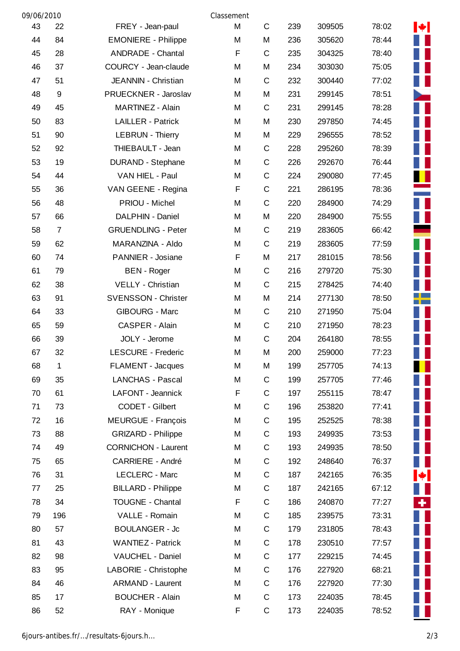| 09/06/2010 |                  |                            | Classement |              |     |        |       |    |
|------------|------------------|----------------------------|------------|--------------|-----|--------|-------|----|
| 43         | 22               | FREY - Jean-paul           | M          | $\mathsf C$  | 239 | 309505 | 78:02 | M. |
| 44         | 84               | <b>EMONIERE - Philippe</b> | M          | M            | 236 | 305620 | 78:44 |    |
| 45         | 28               | <b>ANDRADE - Chantal</b>   | F          | C            | 235 | 304325 | 78:40 |    |
| 46         | 37               | COURCY - Jean-claude       | M          | M            | 234 | 303030 | 75:05 |    |
| 47         | 51               | JEANNIN - Christian        | M          | C            | 232 | 300440 | 77:02 |    |
| 48         | $\boldsymbol{9}$ | PRUECKNER - Jaroslav       | M          | M            | 231 | 299145 | 78:51 |    |
| 49         | 45               | MARTINEZ - Alain           | M          | $\mathbf C$  | 231 | 299145 | 78:28 |    |
| 50         | 83               | <b>LAILLER - Patrick</b>   | M          | M            | 230 | 297850 | 74:45 |    |
| 51         | 90               | <b>LEBRUN - Thierry</b>    | M          | M            | 229 | 296555 | 78:52 |    |
| 52         | 92               | THIEBAULT - Jean           | M          | C            | 228 | 295260 | 78:39 |    |
| 53         | 19               | <b>DURAND - Stephane</b>   | M          | C            | 226 | 292670 | 76:44 |    |
| 54         | 44               | VAN HIEL - Paul            | M          | C            | 224 | 290080 | 77:45 | Ш  |
| 55         | 36               | VAN GEENE - Regina         | F          | $\mathsf C$  | 221 | 286195 | 78:36 |    |
| 56         | 48               | PRIOU - Michel             | M          | $\mathsf C$  | 220 | 284900 | 74:29 | ш  |
| 57         | 66               | DALPHIN - Daniel           | M          | M            | 220 | 284900 | 75:55 |    |
| 58         | $\overline{7}$   | <b>GRUENDLING - Peter</b>  | M          | C            | 219 | 283605 | 66:42 |    |
| 59         | 62               | MARANZINA - Aldo           | M          | C            | 219 | 283605 | 77:59 |    |
| 60         | 74               | PANNIER - Josiane          | F          | M            | 217 | 281015 | 78:56 |    |
| 61         | 79               | <b>BEN</b> - Roger         | M          | C            | 216 | 279720 | 75:30 |    |
| 62         | 38               | VELLY - Christian          | M          | $\mathsf C$  | 215 | 278425 | 74:40 |    |
| 63         | 91               | <b>SVENSSON - Christer</b> | M          | M            | 214 | 277130 | 78:50 |    |
| 64         | 33               | <b>GIBOURG - Marc</b>      | M          | C            | 210 | 271950 | 75:04 |    |
| 65         | 59               | CASPER - Alain             | M          | C            | 210 | 271950 | 78:23 |    |
| 66         | 39               | JOLY - Jerome              | M          | C            | 204 | 264180 | 78:55 |    |
| 67         | 32               | LESCURE - Frederic         | M          | M            | 200 | 259000 | 77:23 |    |
| 68         | 1                | <b>FLAMENT - Jacques</b>   | M          | M            | 199 | 257705 | 74:13 |    |
| 69         | 35               | <b>LANCHAS - Pascal</b>    | M          | $\mathsf{C}$ | 199 | 257705 | 77:46 |    |
| 70         | 61               | LAFONT - Jeannick          | F          | C            | 197 | 255115 | 78:47 |    |
| 71         | 73               | CODET - Gilbert            | M          | $\mathsf C$  | 196 | 253820 | 77:41 |    |
| 72         | 16               | MEURGUE - François         | M          | C            | 195 | 252525 | 78:38 |    |
| 73         | 88               | <b>GRIZARD - Philippe</b>  | M          | $\mathsf C$  | 193 | 249935 | 73:53 |    |
| 74         | 49               | <b>CORNICHON - Laurent</b> | M          | C            | 193 | 249935 | 78:50 |    |
| 75         | 65               | <b>CARRIERE - André</b>    | M          | C            | 192 | 248640 | 76:37 |    |
| 76         | 31               | LECLERC - Marc             | M          | C            | 187 | 242165 | 76:35 | ₩L |
| 77         | 25               | <b>BILLARD - Philippe</b>  | M          | $\mathsf C$  | 187 | 242165 | 67:12 |    |
| 78         | 34               | <b>TOUGNE - Chantal</b>    | F          | $\mathbf C$  | 186 | 240870 | 77:27 | ٠. |
| 79         | 196              | VALLE - Romain             | M          | $\mathsf C$  | 185 | 239575 | 73:31 |    |
| 80         | 57               | <b>BOULANGER - Jc</b>      | M          | $\mathsf C$  | 179 | 231805 | 78:43 |    |
| 81         | 43               | <b>WANTIEZ - Patrick</b>   | M          | $\mathsf C$  | 178 | 230510 | 77:57 |    |
| 82         | 98               | VAUCHEL - Daniel           | M          | $\mathsf C$  | 177 | 229215 | 74:45 |    |
| 83         | 95               | LABORIE - Christophe       | M          | $\mathsf C$  | 176 | 227920 | 68:21 |    |
| 84         | 46               | <b>ARMAND - Laurent</b>    | M          | $\mathsf C$  | 176 | 227920 | 77:30 |    |
| 85         | 17               | <b>BOUCHER - Alain</b>     | M          | $\mathsf{C}$ | 173 | 224035 | 78:45 |    |
| 86         | 52               | RAY - Monique              | F          | C            | 173 | 224035 | 78:52 |    |